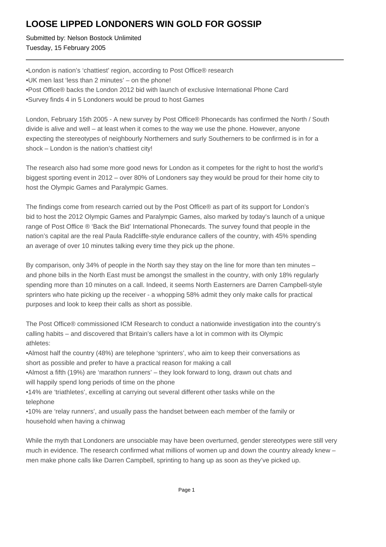## **LOOSE LIPPED LONDONERS WIN GOLD FOR GOSSIP**

Submitted by: Nelson Bostock Unlimited Tuesday, 15 February 2005

- London is nation's 'chattiest' region, according to Post Office® research
- UK men last 'less than 2 minutes' on the phone!
- • Post Office® backs the London 2012 bid with launch of exclusive International Phone Card
- Survey finds 4 in 5 Londoners would be proud to host Games

London, February 15th 2005 - A new survey by Post Office® Phonecards has confirmed the North / South divide is alive and well – at least when it comes to the way we use the phone. However, anyone expecting the stereotypes of neighbourly Northerners and surly Southerners to be confirmed is in for a shock – London is the nation's chattiest city!

The research also had some more good news for London as it competes for the right to host the world's biggest sporting event in 2012 – over 80% of Londoners say they would be proud for their home city to host the Olympic Games and Paralympic Games.

The findings come from research carried out by the Post Office® as part of its support for London's bid to host the 2012 Olympic Games and Paralympic Games, also marked by today's launch of a unique range of Post Office ® 'Back the Bid' International Phonecards. The survey found that people in the nation's capital are the real Paula Radcliffe-style endurance callers of the country, with 45% spending an average of over 10 minutes talking every time they pick up the phone.

By comparison, only 34% of people in the North say they stay on the line for more than ten minutes – and phone bills in the North East must be amongst the smallest in the country, with only 18% regularly spending more than 10 minutes on a call. Indeed, it seems North Easterners are Darren Campbell-style sprinters who hate picking up the receiver - a whopping 58% admit they only make calls for practical purposes and look to keep their calls as short as possible.

The Post Office® commissioned ICM Research to conduct a nationwide investigation into the country's calling habits – and discovered that Britain's callers have a lot in common with its Olympic athletes:

- • Almost half the country (48%) are telephone 'sprinters', who aim to keep their conversations as short as possible and prefer to have a practical reason for making a call
- Almost a fifth (19%) are 'marathon runners' they look forward to long, drawn out chats and will happily spend long periods of time on the phone

• 14% are 'triathletes', excelling at carrying out several different other tasks while on the telephone

• 10% are 'relay runners', and usually pass the handset between each member of the family or household when having a chinwag

While the myth that Londoners are unsociable may have been overturned, gender stereotypes were still very much in evidence. The research confirmed what millions of women up and down the country already knew – men make phone calls like Darren Campbell, sprinting to hang up as soon as they've picked up.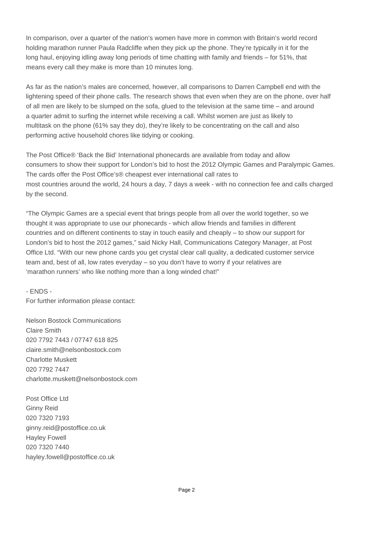In comparison, over a quarter of the nation's women have more in common with Britain's world record holding marathon runner Paula Radcliffe when they pick up the phone. They're typically in it for the long haul, enjoying idling away long periods of time chatting with family and friends – for 51%, that means every call they make is more than 10 minutes long.

As far as the nation's males are concerned, however, all comparisons to Darren Campbell end with the lightening speed of their phone calls. The research shows that even when they are on the phone, over half of all men are likely to be slumped on the sofa, glued to the television at the same time – and around a quarter admit to surfing the internet while receiving a call. Whilst women are just as likely to multitask on the phone (61% say they do), they're likely to be concentrating on the call and also performing active household chores like tidying or cooking.

The Post Office® 'Back the Bid' International phonecards are available from today and allow consumers to show their support for London's bid to host the 2012 Olympic Games and Paralympic Games. The cards offer the Post Office's® cheapest ever international call rates to most countries around the world, 24 hours a day, 7 days a week - with no connection fee and calls charged by the second.

"The Olympic Games are a special event that brings people from all over the world together, so we thought it was appropriate to use our phonecards - which allow friends and families in different countries and on different continents to stay in touch easily and cheaply – to show our support for London's bid to host the 2012 games," said Nicky Hall, Communications Category Manager, at Post Office Ltd. "With our new phone cards you get crystal clear call quality, a dedicated customer service team and, best of all, low rates everyday – so you don't have to worry if your relatives are 'marathon runners' who like nothing more than a long winded chat!"

- ENDS -

For further information please contact:

Nelson Bostock Communications Claire Smith 020 7792 7443 / 07747 618 825 claire.smith@nelsonbostock.com Charlotte Muskett 020 7792 7447 charlotte.muskett@nelsonbostock.com

Post Office Ltd Ginny Reid 020 7320 7193 ginny.reid@postoffice.co.uk Hayley Fowell 020 7320 7440 hayley.fowell@postoffice.co.uk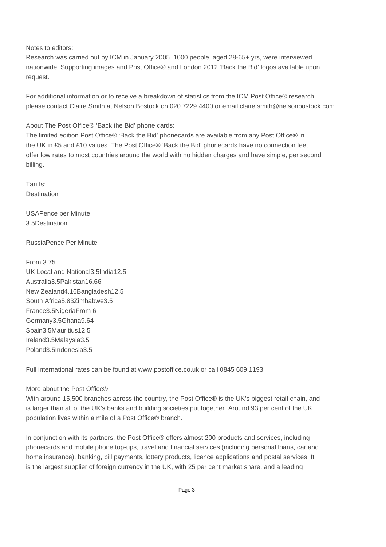Notes to editors:

Research was carried out by ICM in January 2005. 1000 people, aged 28-65+ yrs, were interviewed nationwide. Supporting images and Post Office® and London 2012 'Back the Bid' logos available upon request.

For additional information or to receive a breakdown of statistics from the ICM Post Office® research, please contact Claire Smith at Nelson Bostock on 020 7229 4400 or email claire.smith@nelsonbostock.com

About The Post Office® 'Back the Bid' phone cards:

The limited edition Post Office® 'Back the Bid' phonecards are available from any Post Office® in the UK in £5 and £10 values. The Post Office® 'Back the Bid' phonecards have no connection fee, offer low rates to most countries around the world with no hidden charges and have simple, per second billing.

Tariffs: **Destination** 

USA Pence per Minute 3.5 Destination

Russia Pence Per Minute

From 3.75 UK Local and National 3.5 India 12.5 Australia 3.5 Pakistan 16.66 New Zealand 4.16 Bangladesh 12.5 South Africa 5.83 Zimbabwe 3.5 France 3.5 Nigeria From 6 Germany 3.5 Ghana 9.64 Spain 3.5 Mauritius 12.5 Ireland 3.5 Malaysia 3.5 Poland 3.5 Indonesia 3.5

Full international rates can be found at www.postoffice.co.uk or call 0845 609 1193

## More about the Post Office®

With around 15,500 branches across the country, the Post Office® is the UK's biggest retail chain, and is larger than all of the UK's banks and building societies put together. Around 93 per cent of the UK population lives within a mile of a Post Office® branch.

In conjunction with its partners, the Post Office<sup>®</sup> offers almost 200 products and services, including phonecards and mobile phone top-ups, travel and financial services (including personal loans, car and home insurance), banking, bill payments, lottery products, licence applications and postal services. It is the largest supplier of foreign currency in the UK, with 25 per cent market share, and a leading